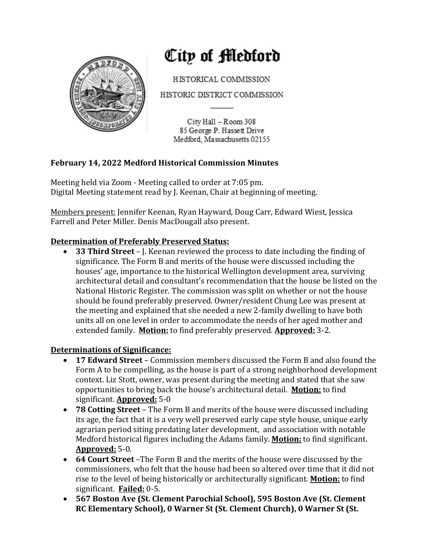

# City of Medford

HISTORICAL COMMISSION

HISTORIC DISTRICT COMMISSION

City Hall - Room 308 85 George P. Hassett Drive Medford, Massachusetts 02155

## **February 14, 2022 Medford Historical Commission Minutes**

Meeting held via Zoom - Meeting called to order at 7:05 pm. Digital Meeting statement read by J. Keenan, Chair at beginning of meeting.

Members present: Jennifer Keenan, Ryan Hayward, Doug Carr, Edward Wiest, Jessica Farrell and Peter Miller. Denis MacDougall also present.

## **Determination of Preferably Preserved Status:**

• **33 Third Street** – J. Keenan reviewed the process to date including the finding of significance. The Form B and merits of the house were discussed including the houses' age, importance to the historical Wellington development area, surviving architectural detail and consultant's recommendation that the house be listed on the National Historic Register. The commission was split on whether or not the house should be found preferably preserved. Owner/resident Chung Lee was present at the meeting and explained that she needed a new 2-family dwelling to have both units all on one level in order to accommodate the needs of her aged mother and extended family. **Motion:** to find preferably preserved. **Approved:** 3-2.

### **Determinations of Significance:**

- **17 Edward Street** Commission members discussed the Form B and also found the Form A to be compelling, as the house is part of a strong neighborhood development context. Liz Stott, owner, was present during the meeting and stated that she saw opportunities to bring back the house's architectural detail. **Motion:** to find significant. **Approved:** 5-0
- 78 Cotting Street The Form B and merits of the house were discussed including its age, the fact that it is a very well preserved early cape style house, unique early agrarian period siting predating later development, and association with notable Medford historical figures including the Adams family. **Motion:** to find significant. **Approved:** 5-0.
- **64 Court Street** –The Form B and the merits of the house were discussed by the commissioners, who felt that the house had been so altered over time that it did not rise to the level of being historically or architecturally significant. **Motion:** to find significant. **Failed:** 0-5.
- 567 Boston Ave (St. Clement Parochial School), 595 Boston Ave (St. Clement **RC Elementary School), 0 Warner St (St. Clement Church), 0 Warner St (St.**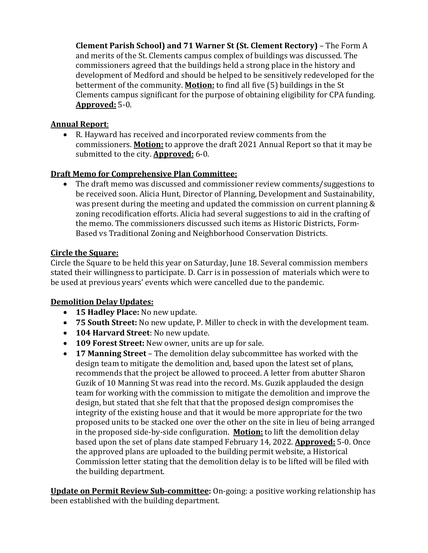**Clement Parish School) and 71 Warner St (St. Clement Rectory)** - The Form A and merits of the St. Clements campus complex of buildings was discussed. The commissioners agreed that the buildings held a strong place in the history and development of Medford and should be helped to be sensitively redeveloped for the betterment of the community. **Motion:** to find all five (5) buildings in the St Clements campus significant for the purpose of obtaining eligibility for CPA funding. **Approved:** 5-0.

#### **Annual Report**:

• R. Hayward has received and incorporated review comments from the commissioners. **Motion:** to approve the draft 2021 Annual Report so that it may be submitted to the city. **Approved:** 6-0.

#### **Draft Memo for Comprehensive Plan Committee:**

The draft memo was discussed and commissioner review comments/suggestions to be received soon. Alicia Hunt, Director of Planning, Development and Sustainability, was present during the meeting and updated the commission on current planning  $&$ zoning recodification efforts. Alicia had several suggestions to aid in the crafting of the memo. The commissioners discussed such items as Historic Districts, Form-Based vs Traditional Zoning and Neighborhood Conservation Districts.

#### **Circle the Square:**

Circle the Square to be held this year on Saturday, June 18. Several commission members stated their willingness to participate. D. Carr is in possession of materials which were to be used at previous years' events which were cancelled due to the pandemic.

### **Demolition Delay Updates:**

- **15 Hadley Place:** No new update.
- 75 **South Street:** No new update, P. Miller to check in with the development team.
- **104 Harvard Street**: No new update.
- **109 Forest Street:** New owner, units are up for sale.
- **17 Manning Street** The demolition delay subcommittee has worked with the design team to mitigate the demolition and, based upon the latest set of plans, recommends that the project be allowed to proceed. A letter from abutter Sharon Guzik of 10 Manning St was read into the record. Ms. Guzik applauded the design team for working with the commission to mitigate the demolition and improve the design, but stated that she felt that that the proposed design compromises the integrity of the existing house and that it would be more appropriate for the two proposed units to be stacked one over the other on the site in lieu of being arranged in the proposed side-by-side configuration. **Motion:** to lift the demolition delay based upon the set of plans date stamped February 14, 2022. **Approved:** 5-0. Once the approved plans are uploaded to the building permit website, a Historical Commission letter stating that the demolition delay is to be lifted will be filed with the building department.

**Update on Permit Review Sub-committee:** On-going: a positive working relationship has been established with the building department.